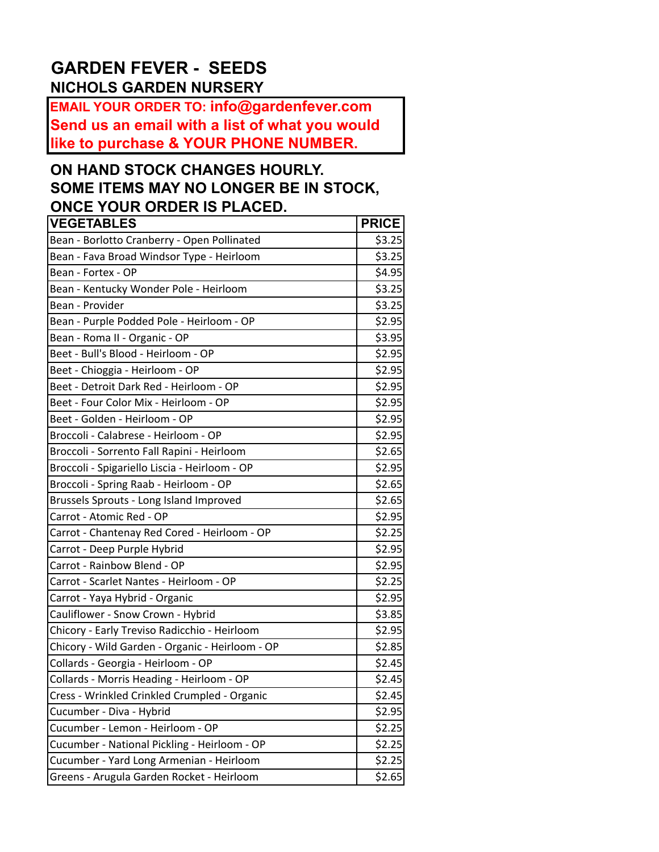## **GARDEN FEVER - SEEDS NICHOLS GARDEN NURSERY**

**EMAIL YOUR ORDER TO: info@gardenfever.com Send us an email with a list of what you would like to purchase & YOUR PHONE NUMBER.**

## **ON HAND STOCK CHANGES HOURLY. SOME ITEMS MAY NO LONGER BE IN STOCK, ONCE YOUR ORDER IS PLACED.**

| <b>VEGETABLES</b>                               | <b>PRICE</b> |
|-------------------------------------------------|--------------|
| Bean - Borlotto Cranberry - Open Pollinated     | \$3.25       |
| Bean - Fava Broad Windsor Type - Heirloom       | \$3.25       |
| Bean - Fortex - OP                              | \$4.95       |
| Bean - Kentucky Wonder Pole - Heirloom          | \$3.25       |
| Bean - Provider                                 | \$3.25       |
| Bean - Purple Podded Pole - Heirloom - OP       | \$2.95       |
| Bean - Roma II - Organic - OP                   | \$3.95       |
| Beet - Bull's Blood - Heirloom - OP             | \$2.95       |
| Beet - Chioggia - Heirloom - OP                 | \$2.95       |
| Beet - Detroit Dark Red - Heirloom - OP         | \$2.95       |
| Beet - Four Color Mix - Heirloom - OP           | \$2.95       |
| Beet - Golden - Heirloom - OP                   | \$2.95       |
| Broccoli - Calabrese - Heirloom - OP            | \$2.95       |
| Broccoli - Sorrento Fall Rapini - Heirloom      | \$2.65       |
| Broccoli - Spigariello Liscia - Heirloom - OP   | \$2.95       |
| Broccoli - Spring Raab - Heirloom - OP          | \$2.65       |
| Brussels Sprouts - Long Island Improved         | \$2.65       |
| Carrot - Atomic Red - OP                        | \$2.95       |
| Carrot - Chantenay Red Cored - Heirloom - OP    | \$2.25       |
| Carrot - Deep Purple Hybrid                     | \$2.95       |
| Carrot - Rainbow Blend - OP                     | \$2.95       |
| Carrot - Scarlet Nantes - Heirloom - OP         | \$2.25       |
| Carrot - Yaya Hybrid - Organic                  | \$2.95       |
| Cauliflower - Snow Crown - Hybrid               | \$3.85       |
| Chicory - Early Treviso Radicchio - Heirloom    | \$2.95       |
| Chicory - Wild Garden - Organic - Heirloom - OP | \$2.85       |
| Collards - Georgia - Heirloom - OP              | \$2.45       |
| Collards - Morris Heading - Heirloom - OP       | \$2.45       |
| Cress - Wrinkled Crinkled Crumpled - Organic    | \$2.45       |
| Cucumber - Diva - Hybrid                        | \$2.95       |
| Cucumber - Lemon - Heirloom - OP                | \$2.25       |
| Cucumber - National Pickling - Heirloom - OP    | \$2.25       |
| Cucumber - Yard Long Armenian - Heirloom        | \$2.25       |
| Greens - Arugula Garden Rocket - Heirloom       | \$2.65       |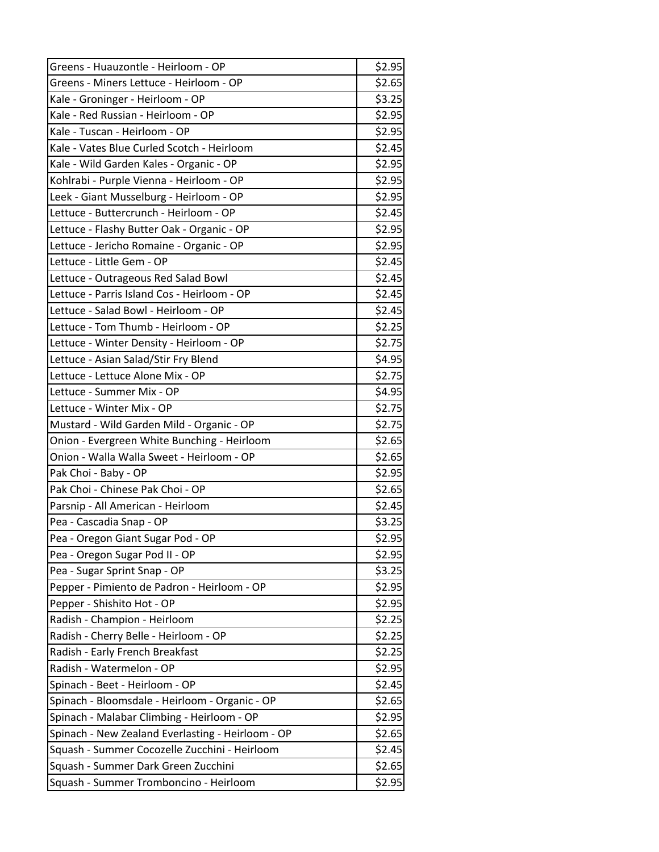| Greens - Huauzontle - Heirloom - OP               | \$2.95 |
|---------------------------------------------------|--------|
| Greens - Miners Lettuce - Heirloom - OP           | \$2.65 |
| Kale - Groninger - Heirloom - OP                  | \$3.25 |
| Kale - Red Russian - Heirloom - OP                | \$2.95 |
| Kale - Tuscan - Heirloom - OP                     | \$2.95 |
| Kale - Vates Blue Curled Scotch - Heirloom        | \$2.45 |
| Kale - Wild Garden Kales - Organic - OP           | \$2.95 |
| Kohlrabi - Purple Vienna - Heirloom - OP          | \$2.95 |
| Leek - Giant Musselburg - Heirloom - OP           | \$2.95 |
| Lettuce - Buttercrunch - Heirloom - OP            | \$2.45 |
| Lettuce - Flashy Butter Oak - Organic - OP        | \$2.95 |
| Lettuce - Jericho Romaine - Organic - OP          | \$2.95 |
| Lettuce - Little Gem - OP                         | \$2.45 |
| Lettuce - Outrageous Red Salad Bowl               | \$2.45 |
| Lettuce - Parris Island Cos - Heirloom - OP       | \$2.45 |
| Lettuce - Salad Bowl - Heirloom - OP              | \$2.45 |
| Lettuce - Tom Thumb - Heirloom - OP               | \$2.25 |
| Lettuce - Winter Density - Heirloom - OP          | \$2.75 |
| Lettuce - Asian Salad/Stir Fry Blend              | \$4.95 |
| Lettuce - Lettuce Alone Mix - OP                  | \$2.75 |
| Lettuce - Summer Mix - OP                         | \$4.95 |
| Lettuce - Winter Mix - OP                         | \$2.75 |
| Mustard - Wild Garden Mild - Organic - OP         | \$2.75 |
| Onion - Evergreen White Bunching - Heirloom       | \$2.65 |
| Onion - Walla Walla Sweet - Heirloom - OP         | \$2.65 |
| Pak Choi - Baby - OP                              | \$2.95 |
| Pak Choi - Chinese Pak Choi - OP                  | \$2.65 |
| Parsnip - All American - Heirloom                 | \$2.45 |
| Pea - Cascadia Snap - OP                          | \$3.25 |
| Pea - Oregon Giant Sugar Pod - OP                 | \$2.95 |
| Pea - Oregon Sugar Pod II - OP                    | \$2.95 |
| Pea - Sugar Sprint Snap - OP                      | \$3.25 |
| Pepper - Pimiento de Padron - Heirloom - OP       | \$2.95 |
| Pepper - Shishito Hot - OP                        | \$2.95 |
| Radish - Champion - Heirloom                      | \$2.25 |
| Radish - Cherry Belle - Heirloom - OP             | \$2.25 |
| Radish - Early French Breakfast                   | \$2.25 |
| Radish - Watermelon - OP                          | \$2.95 |
| Spinach - Beet - Heirloom - OP                    | \$2.45 |
| Spinach - Bloomsdale - Heirloom - Organic - OP    | \$2.65 |
| Spinach - Malabar Climbing - Heirloom - OP        | \$2.95 |
| Spinach - New Zealand Everlasting - Heirloom - OP | \$2.65 |
| Squash - Summer Cocozelle Zucchini - Heirloom     | \$2.45 |
| Squash - Summer Dark Green Zucchini               | \$2.65 |
| Squash - Summer Tromboncino - Heirloom            | \$2.95 |